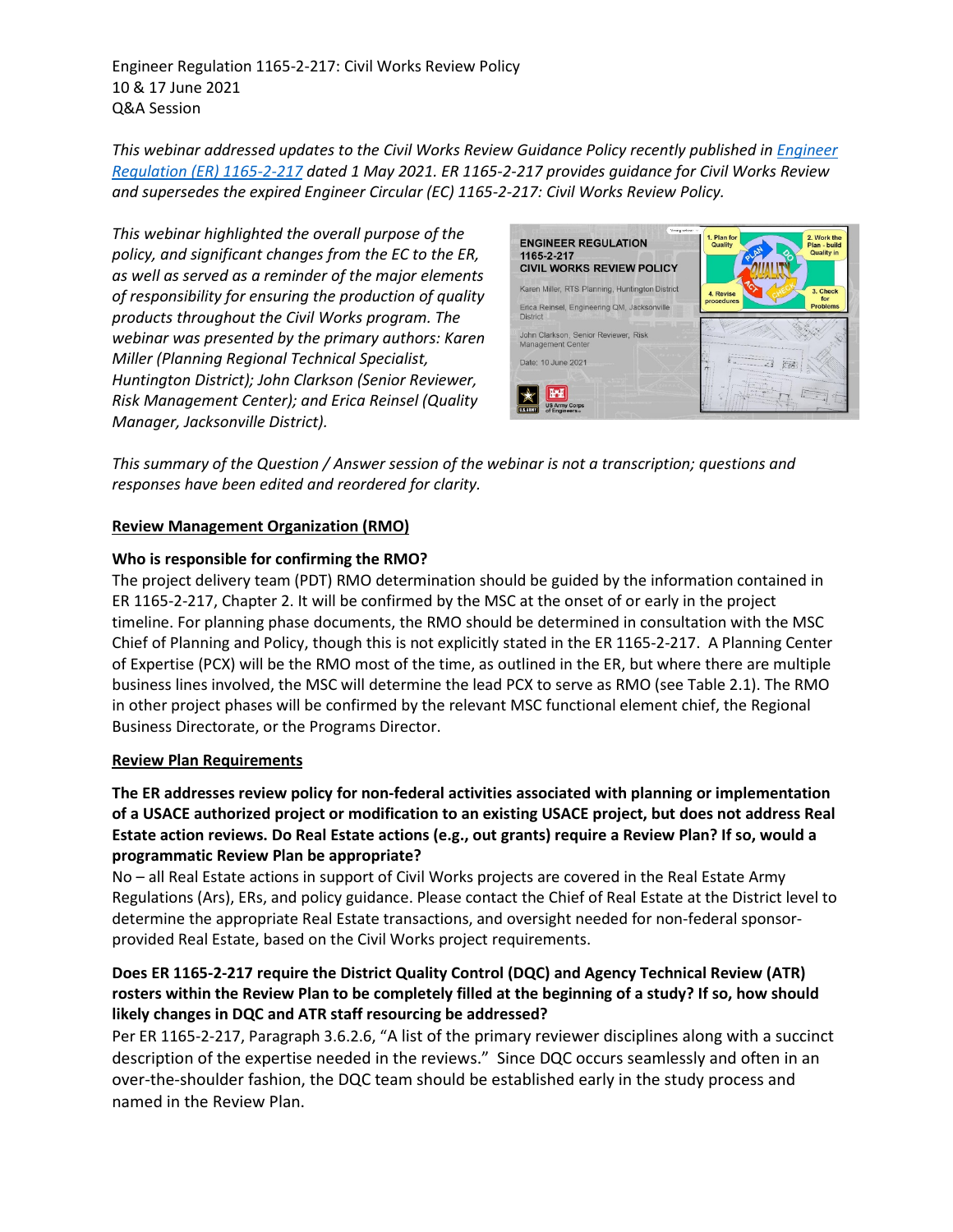Engineer Regulation 1165-2-217: Civil Works Review Policy 10 & 17 June 2021 Q&A Session

*This webinar addressed updates to the Civil Works Review Guidance Policy recently published in [Engineer](https://www.publications.usace.army.mil/Portals/76/Users/182/86/2486/ER%201165-2-217s.pdf?ver=NWMOw86W9QEK3DLpWyt3bQ%3d%3d)  [Regulation \(ER\)](https://www.publications.usace.army.mil/Portals/76/Users/182/86/2486/ER%201165-2-217s.pdf?ver=NWMOw86W9QEK3DLpWyt3bQ%3d%3d) 1165-2-217 dated 1 May 2021. ER 1165-2-217 provides guidance for Civil Works Review and supersedes the expired Engineer Circular (EC) 1165-2-217: Civil Works Review Policy.* 

*This webinar highlighted the overall purpose of the policy, and significant changes from the EC to the ER, as well as served as a reminder of the major elements of responsibility for ensuring the production of quality products throughout the Civil Works program. The webinar was presented by the primary authors: Karen Miller (Planning Regional Technical Specialist, Huntington District); John Clarkson (Senior Reviewer, Risk Management Center); and Erica Reinsel (Quality Manager, Jacksonville District).* 



*This summary of the Question / Answer session of the webinar is not a transcription; questions and responses have been edited and reordered for clarity.*

#### **Review Management Organization (RMO)**

### **Who is responsible for confirming the RMO?**

The project delivery team (PDT) RMO determination should be guided by the information contained in ER 1165-2-217, Chapter 2. It will be confirmed by the MSC at the onset of or early in the project timeline. For planning phase documents, the RMO should be determined in consultation with the MSC Chief of Planning and Policy, though this is not explicitly stated in the ER 1165-2-217. A Planning Center of Expertise (PCX) will be the RMO most of the time, as outlined in the ER, but where there are multiple business lines involved, the MSC will determine the lead PCX to serve as RMO (see Table 2.1). The RMO in other project phases will be confirmed by the relevant MSC functional element chief, the Regional Business Directorate, or the Programs Director.

#### **Review Plan Requirements**

**The ER addresses review policy for non-federal activities associated with planning or implementation of a USACE authorized project or modification to an existing USACE project, but does not address Real Estate action reviews. Do Real Estate actions (e.g., out grants) require a Review Plan? If so, would a programmatic Review Plan be appropriate?** 

No – all Real Estate actions in support of Civil Works projects are covered in the Real Estate Army Regulations (Ars), ERs, and policy guidance. Please contact the Chief of Real Estate at the District level to determine the appropriate Real Estate transactions, and oversight needed for non-federal sponsorprovided Real Estate, based on the Civil Works project requirements.

### **Does ER 1165-2-217 require the District Quality Control (DQC) and Agency Technical Review (ATR) rosters within the Review Plan to be completely filled at the beginning of a study? If so, how should likely changes in DQC and ATR staff resourcing be addressed?**

Per ER 1165-2-217, Paragraph 3.6.2.6, "A list of the primary reviewer disciplines along with a succinct description of the expertise needed in the reviews." Since DQC occurs seamlessly and often in an over-the-shoulder fashion, the DQC team should be established early in the study process and named in the Review Plan.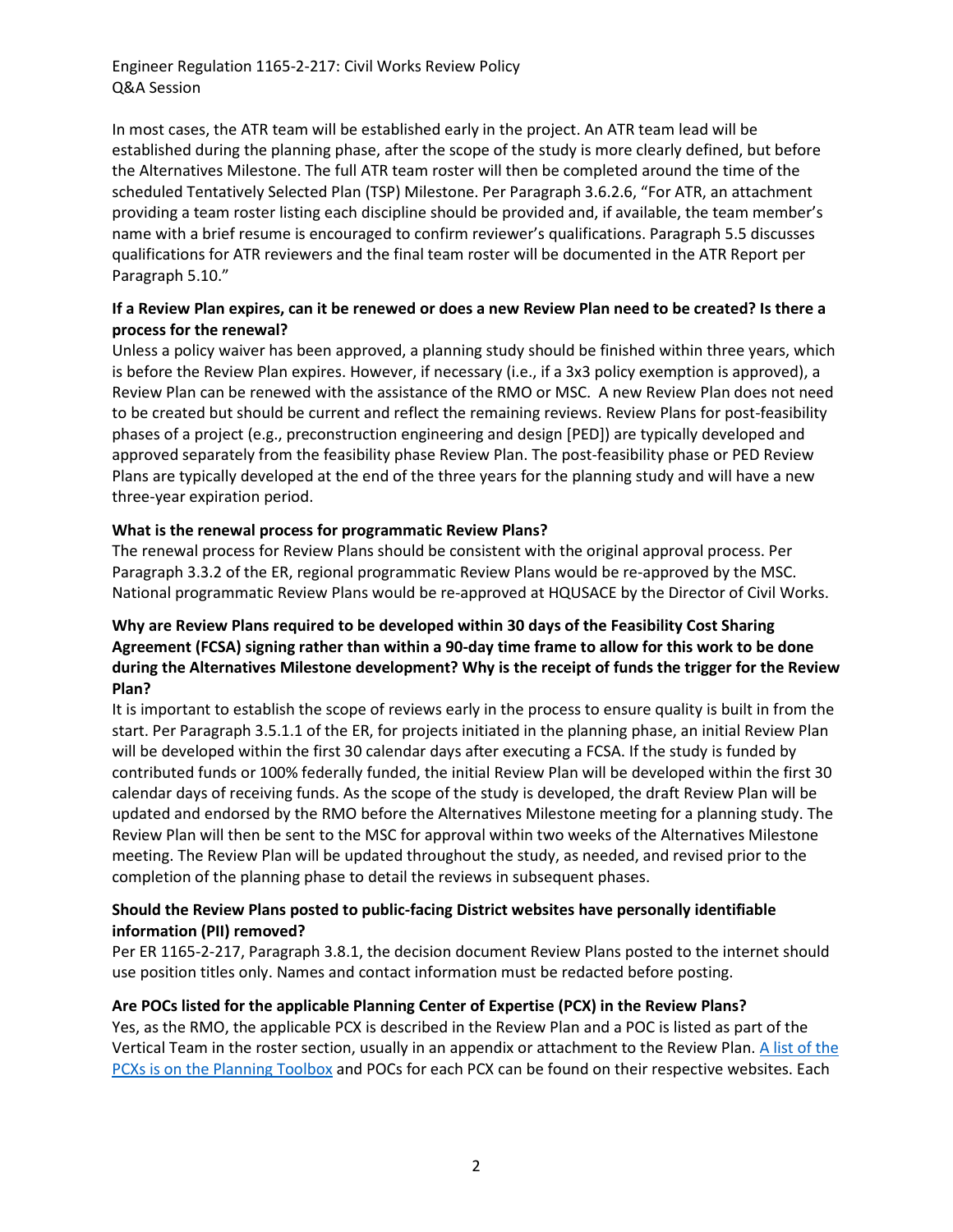In most cases, the ATR team will be established early in the project. An ATR team lead will be established during the planning phase, after the scope of the study is more clearly defined, but before the Alternatives Milestone. The full ATR team roster will then be completed around the time of the scheduled Tentatively Selected Plan (TSP) Milestone. Per Paragraph 3.6.2.6, "For ATR, an attachment providing a team roster listing each discipline should be provided and, if available, the team member's name with a brief resume is encouraged to confirm reviewer's qualifications. Paragraph 5.5 discusses qualifications for ATR reviewers and the final team roster will be documented in the ATR Report per Paragraph 5.10."

### **If a Review Plan expires, can it be renewed or does a new Review Plan need to be created? Is there a process for the renewal?**

Unless a policy waiver has been approved, a planning study should be finished within three years, which is before the Review Plan expires. However, if necessary (i.e., if a 3x3 policy exemption is approved), a Review Plan can be renewed with the assistance of the RMO or MSC. A new Review Plan does not need to be created but should be current and reflect the remaining reviews. Review Plans for post-feasibility phases of a project (e.g., preconstruction engineering and design [PED]) are typically developed and approved separately from the feasibility phase Review Plan. The post-feasibility phase or PED Review Plans are typically developed at the end of the three years for the planning study and will have a new three-year expiration period.

## **What is the renewal process for programmatic Review Plans?**

The renewal process for Review Plans should be consistent with the original approval process. Per Paragraph 3.3.2 of the ER, regional programmatic Review Plans would be re-approved by the MSC. National programmatic Review Plans would be re-approved at HQUSACE by the Director of Civil Works.

## **Why are Review Plans required to be developed within 30 days of the Feasibility Cost Sharing Agreement (FCSA) signing rather than within a 90-day time frame to allow for this work to be done during the Alternatives Milestone development? Why is the receipt of funds the trigger for the Review Plan?**

It is important to establish the scope of reviews early in the process to ensure quality is built in from the start. Per Paragraph 3.5.1.1 of the ER, for projects initiated in the planning phase, an initial Review Plan will be developed within the first 30 calendar days after executing a FCSA. If the study is funded by contributed funds or 100% federally funded, the initial Review Plan will be developed within the first 30 calendar days of receiving funds. As the scope of the study is developed, the draft Review Plan will be updated and endorsed by the RMO before the Alternatives Milestone meeting for a planning study. The Review Plan will then be sent to the MSC for approval within two weeks of the Alternatives Milestone meeting. The Review Plan will be updated throughout the study, as needed, and revised prior to the completion of the planning phase to detail the reviews in subsequent phases.

### **Should the Review Plans posted to public-facing District websites have personally identifiable information (PII) removed?**

Per ER 1165-2-217, Paragraph 3.8.1, the decision document Review Plans posted to the internet should use position titles only. Names and contact information must be redacted before posting.

## **Are POCs listed for the applicable Planning Center of Expertise (PCX) in the Review Plans?**

Yes, as the RMO, the applicable PCX is described in the Review Plan and a POC is listed as part of the Vertical Team in the roster section, usually in an appendix or attachment to the Review Plan. A list of the PCXs is [on the Planning Toolbox](https://planning.erdc.dren.mil/toolbox/people.cfm?Id=0&Option=Planning%20Centers%20of%20Expertise) and POCs for each PCX can be found on their respective websites. Each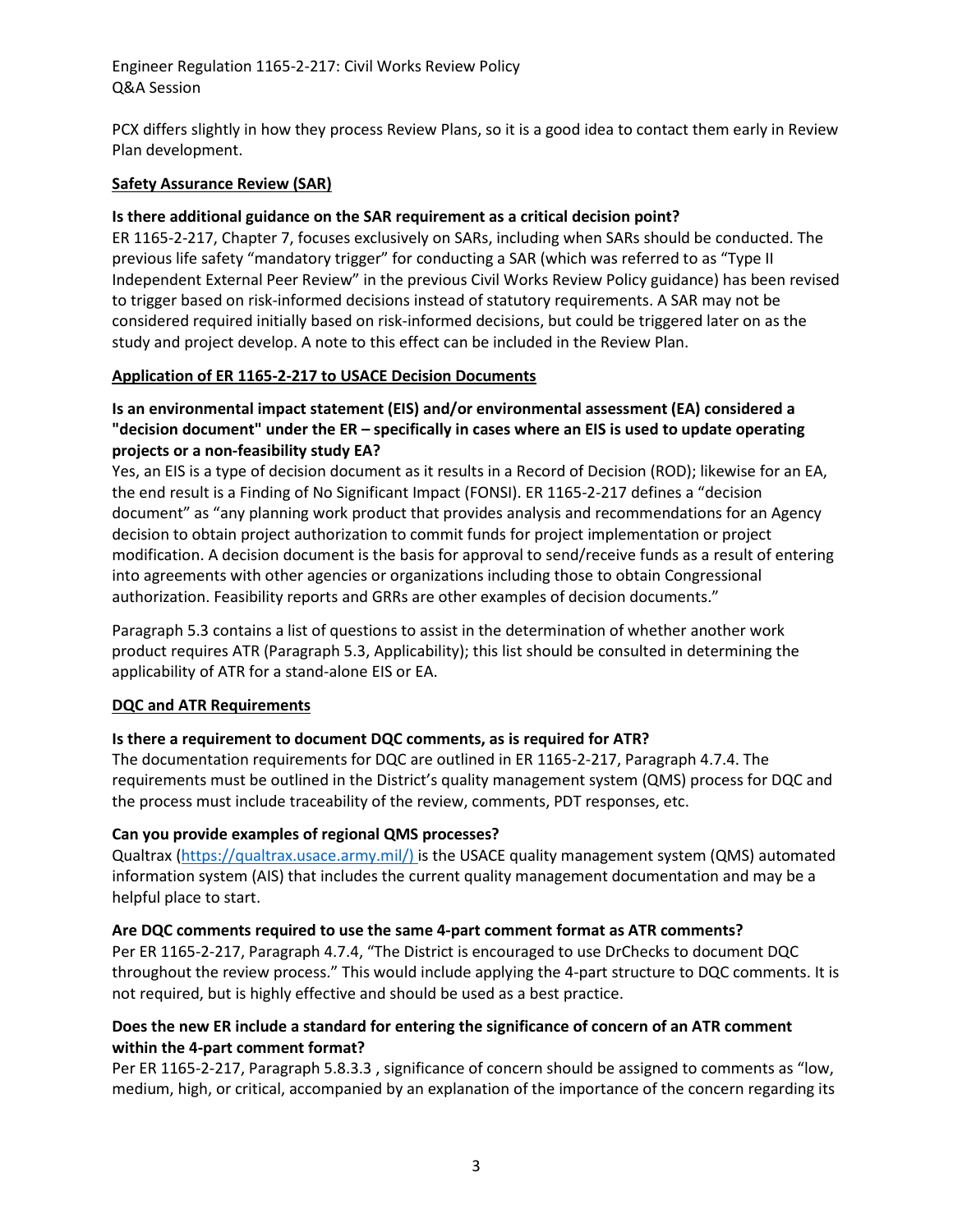PCX differs slightly in how they process Review Plans, so it is a good idea to contact them early in Review Plan development.

#### **Safety Assurance Review (SAR)**

#### **Is there additional guidance on the SAR requirement as a critical decision point?**

ER 1165-2-217, Chapter 7, focuses exclusively on SARs, including when SARs should be conducted. The previous life safety "mandatory trigger" for conducting a SAR (which was referred to as "Type II Independent External Peer Review" in the previous Civil Works Review Policy guidance) has been revised to trigger based on risk-informed decisions instead of statutory requirements. A SAR may not be considered required initially based on risk-informed decisions, but could be triggered later on as the study and project develop. A note to this effect can be included in the Review Plan.

### **Application of ER 1165-2-217 to USACE Decision Documents**

## **Is an environmental impact statement (EIS) and/or environmental assessment (EA) considered a "decision document" under the ER – specifically in cases where an EIS is used to update operating projects or a non-feasibility study EA?**

Yes, an EIS is a type of decision document as it results in a Record of Decision (ROD); likewise for an EA, the end result is a Finding of No Significant Impact (FONSI). ER 1165-2-217 defines a "decision document" as "any planning work product that provides analysis and recommendations for an Agency decision to obtain project authorization to commit funds for project implementation or project modification. A decision document is the basis for approval to send/receive funds as a result of entering into agreements with other agencies or organizations including those to obtain Congressional authorization. Feasibility reports and GRRs are other examples of decision documents."

Paragraph 5.3 contains a list of questions to assist in the determination of whether another work product requires ATR (Paragraph 5.3, Applicability); this list should be consulted in determining the applicability of ATR for a stand-alone EIS or EA.

#### **DQC and ATR Requirements**

## **Is there a requirement to document DQC comments, as is required for ATR?**

The documentation requirements for DQC are outlined in ER 1165-2-217, Paragraph 4.7.4. The requirements must be outlined in the District's quality management system (QMS) process for DQC and the process must include traceability of the review, comments, PDT responses, etc.

#### **Can you provide examples of regional QMS processes?**

Qualtrax [\(https://qualtrax.usace.army.mil/\)](https://qualtrax.usace.army.mil/) is the USACE quality management system (QMS) automated information system (AIS) that includes the current quality management documentation and may be a helpful place to start.

#### **Are DQC comments required to use the same 4-part comment format as ATR comments?**

Per ER 1165-2-217, Paragraph 4.7.4, "The District is encouraged to use DrChecks to document DQC throughout the review process." This would include applying the 4-part structure to DQC comments. It is not required, but is highly effective and should be used as a best practice.

### **Does the new ER include a standard for entering the significance of concern of an ATR comment within the 4-part comment format?**

Per ER 1165-2-217, Paragraph 5.8.3.3 , significance of concern should be assigned to comments as "low, medium, high, or critical, accompanied by an explanation of the importance of the concern regarding its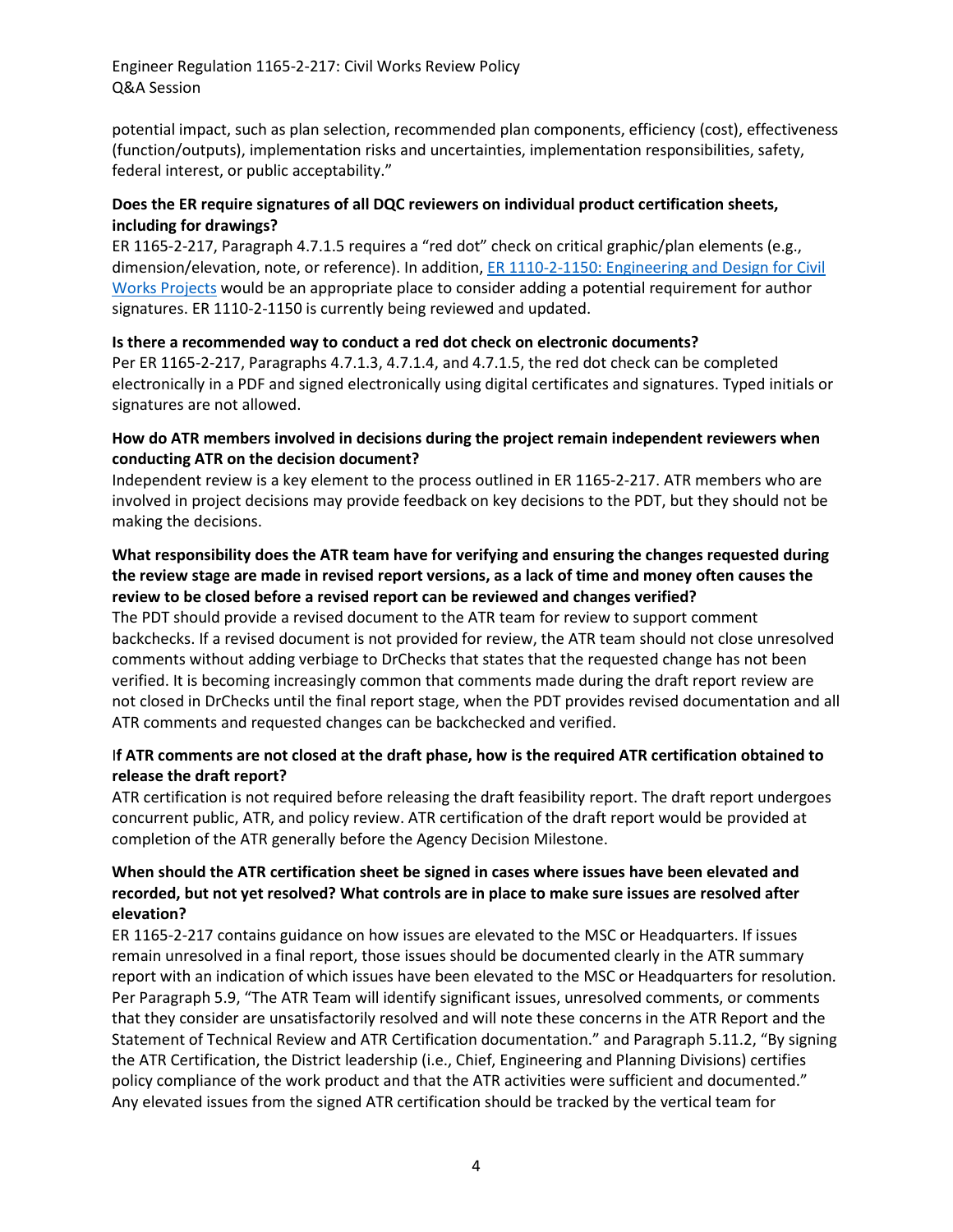potential impact, such as plan selection, recommended plan components, efficiency (cost), effectiveness (function/outputs), implementation risks and uncertainties, implementation responsibilities, safety, federal interest, or public acceptability."

### **Does the ER require signatures of all DQC reviewers on individual product certification sheets, including for drawings?**

ER 1165-2-217, Paragraph 4.7.1.5 requires a "red dot" check on critical graphic/plan elements (e.g., dimension/elevation, note, or reference). In addition, [ER 1110-2-1150: Engineering](https://www.publications.usace.army.mil/portals/76/publications/engineerregulations/er_1110-2-1150.pdf) and Design for Civil [Works Projects](https://www.publications.usace.army.mil/portals/76/publications/engineerregulations/er_1110-2-1150.pdf) would be an appropriate place to consider adding a potential requirement for author signatures. ER 1110-2-1150 is currently being reviewed and updated.

### **Is there a recommended way to conduct a red dot check on electronic documents?**

Per ER 1165-2-217, Paragraphs 4.7.1.3, 4.7.1.4, and 4.7.1.5, the red dot check can be completed electronically in a PDF and signed electronically using digital certificates and signatures. Typed initials or signatures are not allowed.

### **How do ATR members involved in decisions during the project remain independent reviewers when conducting ATR on the decision document?**

Independent review is a key element to the process outlined in ER 1165-2-217. ATR members who are involved in project decisions may provide feedback on key decisions to the PDT, but they should not be making the decisions.

## **What responsibility does the ATR team have for verifying and ensuring the changes requested during the review stage are made in revised report versions, as a lack of time and money often causes the review to be closed before a revised report can be reviewed and changes verified?**

The PDT should provide a revised document to the ATR team for review to support comment backchecks. If a revised document is not provided for review, the ATR team should not close unresolved comments without adding verbiage to DrChecks that states that the requested change has not been verified. It is becoming increasingly common that comments made during the draft report review are not closed in DrChecks until the final report stage, when the PDT provides revised documentation and all ATR comments and requested changes can be backchecked and verified.

## I**f ATR comments are not closed at the draft phase, how is the required ATR certification obtained to release the draft report?**

ATR certification is not required before releasing the draft feasibility report. The draft report undergoes concurrent public, ATR, and policy review. ATR certification of the draft report would be provided at completion of the ATR generally before the Agency Decision Milestone.

## **When should the ATR certification sheet be signed in cases where issues have been elevated and recorded, but not yet resolved? What controls are in place to make sure issues are resolved after elevation?**

ER 1165-2-217 contains guidance on how issues are elevated to the MSC or Headquarters. If issues remain unresolved in a final report, those issues should be documented clearly in the ATR summary report with an indication of which issues have been elevated to the MSC or Headquarters for resolution. Per Paragraph 5.9, "The ATR Team will identify significant issues, unresolved comments, or comments that they consider are unsatisfactorily resolved and will note these concerns in the ATR Report and the Statement of Technical Review and ATR Certification documentation." and Paragraph 5.11.2, "By signing the ATR Certification, the District leadership (i.e., Chief, Engineering and Planning Divisions) certifies policy compliance of the work product and that the ATR activities were sufficient and documented." Any elevated issues from the signed ATR certification should be tracked by the vertical team for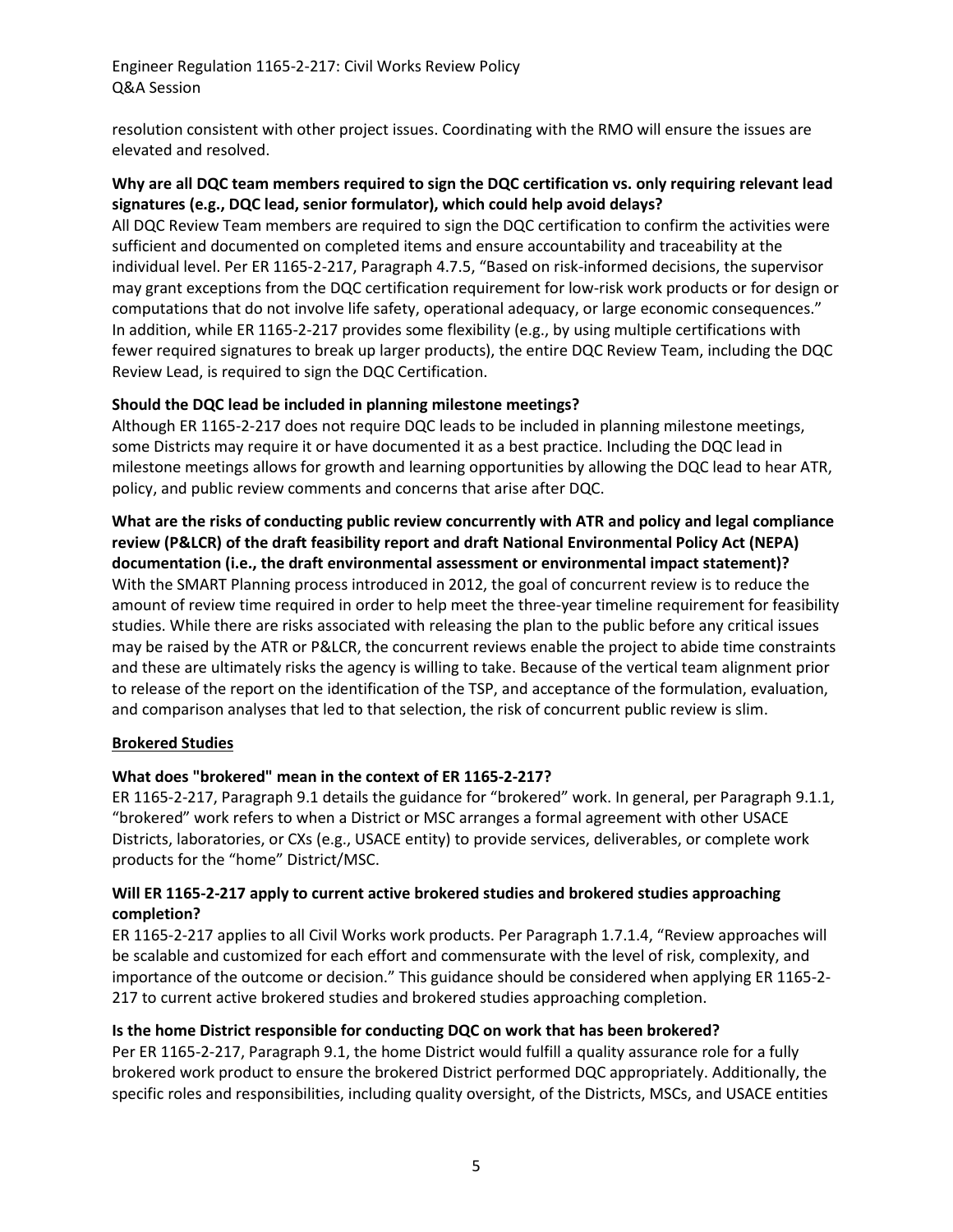resolution consistent with other project issues. Coordinating with the RMO will ensure the issues are elevated and resolved.

## **Why are all DQC team members required to sign the DQC certification vs. only requiring relevant lead signatures (e.g., DQC lead, senior formulator), which could help avoid delays?**

All DQC Review Team members are required to sign the DQC certification to confirm the activities were sufficient and documented on completed items and ensure accountability and traceability at the individual level. Per ER 1165-2-217, Paragraph 4.7.5, "Based on risk-informed decisions, the supervisor may grant exceptions from the DQC certification requirement for low-risk work products or for design or computations that do not involve life safety, operational adequacy, or large economic consequences." In addition, while ER 1165-2-217 provides some flexibility (e.g., by using multiple certifications with fewer required signatures to break up larger products), the entire DQC Review Team, including the DQC Review Lead, is required to sign the DQC Certification.

## **Should the DQC lead be included in planning milestone meetings?**

Although ER 1165-2-217 does not require DQC leads to be included in planning milestone meetings, some Districts may require it or have documented it as a best practice. Including the DQC lead in milestone meetings allows for growth and learning opportunities by allowing the DQC lead to hear ATR, policy, and public review comments and concerns that arise after DQC.

**What are the risks of conducting public review concurrently with ATR and policy and legal compliance review (P&LCR) of the draft feasibility report and draft National Environmental Policy Act (NEPA) documentation (i.e., the draft environmental assessment or environmental impact statement)?**  With the SMART Planning process introduced in 2012, the goal of concurrent review is to reduce the amount of review time required in order to help meet the three-year timeline requirement for feasibility studies. While there are risks associated with releasing the plan to the public before any critical issues may be raised by the ATR or P&LCR, the concurrent reviews enable the project to abide time constraints and these are ultimately risks the agency is willing to take. Because of the vertical team alignment prior to release of the report on the identification of the TSP, and acceptance of the formulation, evaluation, and comparison analyses that led to that selection, the risk of concurrent public review is slim.

## **Brokered Studies**

# **What does "brokered" mean in the context of ER 1165-2-217?**

ER 1165-2-217, Paragraph 9.1 details the guidance for "brokered" work. In general, per Paragraph 9.1.1, "brokered" work refers to when a District or MSC arranges a formal agreement with other USACE Districts, laboratories, or CXs (e.g., USACE entity) to provide services, deliverables, or complete work products for the "home" District/MSC.

## **Will ER 1165-2-217 apply to current active brokered studies and brokered studies approaching completion?**

ER 1165-2-217 applies to all Civil Works work products. Per Paragraph 1.7.1.4, "Review approaches will be scalable and customized for each effort and commensurate with the level of risk, complexity, and importance of the outcome or decision." This guidance should be considered when applying ER 1165-2- 217 to current active brokered studies and brokered studies approaching completion.

## **Is the home District responsible for conducting DQC on work that has been brokered?**

Per ER 1165-2-217, Paragraph 9.1, the home District would fulfill a quality assurance role for a fully brokered work product to ensure the brokered District performed DQC appropriately. Additionally, the specific roles and responsibilities, including quality oversight, of the Districts, MSCs, and USACE entities